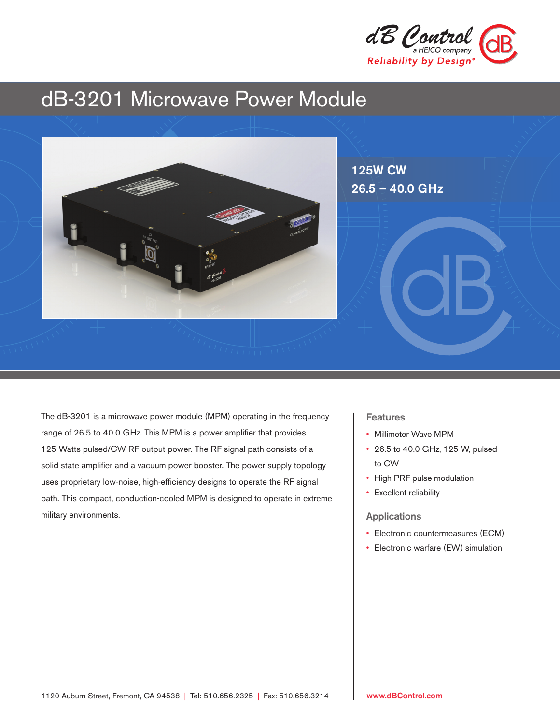

# dB-3201 Microwave Power Module



The dB-3201 is a microwave power module (MPM) operating in the frequency range of 26.5 to 40.0 GHz. This MPM is a power amplifier that provides 125 Watts pulsed/CW RF output power. The RF signal path consists of a solid state amplifier and a vacuum power booster. The power supply topology uses proprietary low-noise, high-efficiency designs to operate the RF signal path. This compact, conduction-cooled MPM is designed to operate in extreme military environments.

### Features

- Millimeter Wave MPM
- 26.5 to 40.0 GHz, 125 W, pulsed to CW
- High PRF pulse modulation
- Excellent reliability

#### Applications

- Electronic countermeasures (ECM)
- Electronic warfare (EW) simulation